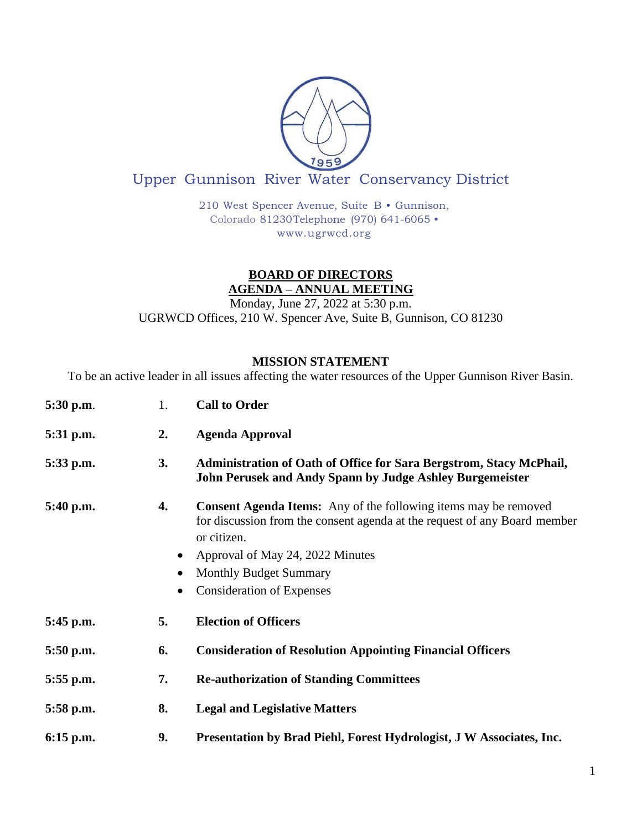

## Upper Gunnison River Water Conservancy District

210 West Spencer Avenue, Suite B • Gunnison, Colorado 81230Telephone (970) 641-6065 • [www.ugrwcd.org](http://www.ugrwcd.org/)

## **BOARD OF DIRECTORS AGENDA – ANNUAL MEETING**

Monday, June 27, 2022 at 5:30 p.m. UGRWCD Offices, 210 W. Spencer Ave, Suite B, Gunnison, CO 81230

## **MISSION STATEMENT**

To be an active leader in all issues affecting the water resources of the Upper Gunnison River Basin.

| 5:30 p.m.   | 1.              | <b>Call to Order</b>                                                                                                                                                                                                                                                        |
|-------------|-----------------|-----------------------------------------------------------------------------------------------------------------------------------------------------------------------------------------------------------------------------------------------------------------------------|
| 5:31 p.m.   | 2.              | <b>Agenda Approval</b>                                                                                                                                                                                                                                                      |
| 5:33 p.m.   | 3.              | Administration of Oath of Office for Sara Bergstrom, Stacy McPhail,<br>John Perusek and Andy Spann by Judge Ashley Burgemeister                                                                                                                                             |
| $5:40$ p.m. | 4.<br>$\bullet$ | <b>Consent Agenda Items:</b> Any of the following items may be removed<br>for discussion from the consent agenda at the request of any Board member<br>or citizen.<br>Approval of May 24, 2022 Minutes<br><b>Monthly Budget Summary</b><br><b>Consideration of Expenses</b> |
| $5:45$ p.m. | 5.              | <b>Election of Officers</b>                                                                                                                                                                                                                                                 |
| $5:50$ p.m. | 6.              | <b>Consideration of Resolution Appointing Financial Officers</b>                                                                                                                                                                                                            |
| $5:55$ p.m. | 7.              | <b>Re-authorization of Standing Committees</b>                                                                                                                                                                                                                              |
| $5:58$ p.m. | 8.              | <b>Legal and Legislative Matters</b>                                                                                                                                                                                                                                        |
| $6:15$ p.m. | 9.              | Presentation by Brad Piehl, Forest Hydrologist, J W Associates, Inc.                                                                                                                                                                                                        |